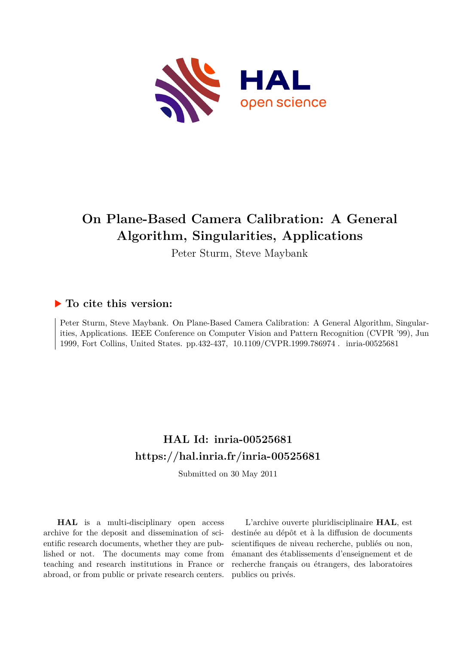

# **On Plane-Based Camera Calibration: A General Algorithm, Singularities, Applications**

Peter Sturm, Steve Maybank

# **To cite this version:**

Peter Sturm, Steve Maybank. On Plane-Based Camera Calibration: A General Algorithm, Singularities, Applications. IEEE Conference on Computer Vision and Pattern Recognition (CVPR '99), Jun 1999, Fort Collins, United States. pp.432-437, 10.1109/CVPR.1999.786974. inria-00525681

# **HAL Id: inria-00525681 <https://hal.inria.fr/inria-00525681>**

Submitted on 30 May 2011

**HAL** is a multi-disciplinary open access archive for the deposit and dissemination of scientific research documents, whether they are published or not. The documents may come from teaching and research institutions in France or abroad, or from public or private research centers.

L'archive ouverte pluridisciplinaire **HAL**, est destinée au dépôt et à la diffusion de documents scientifiques de niveau recherche, publiés ou non, émanant des établissements d'enseignement et de recherche français ou étrangers, des laboratoires publics ou privés.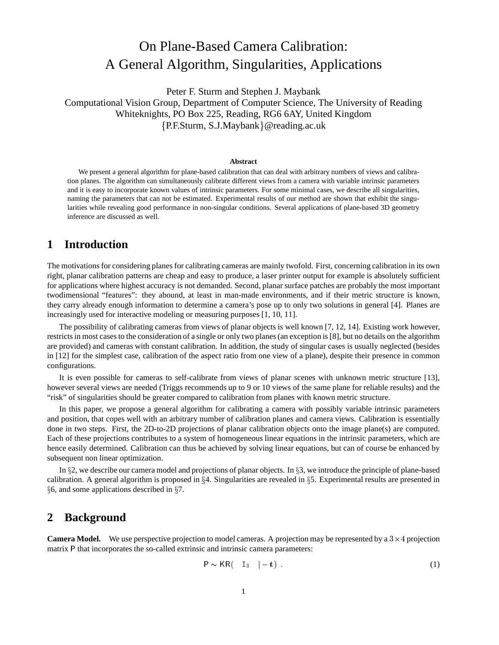# On Plane-Based Camera Calibration: A General Algorithm, Singularities, Applications

Peter F. Sturm and Stephen J. Maybank Computational Vision Group, Department of Computer Science, The University of Reading Whiteknights, PO Box 225, Reading, RG6 6AY, United Kingdom  ${P.F.Sturn, S.J.Maybank}$  @reading.ac.uk

#### **Abstract**

We present a general algorithm for plane-based calibration that can deal with arbitrary numbers of views and calibration planes. The algorithm can simultaneously calibrate different views from a camera with variable intrinsic parameters and it is easy to incorporate known values of intrinsic parameters. For some minimal cases, we describe all singularities, naming the parameters that can not be estimated. Experimental results of our method are shown that exhibit the singularities while revealing good performance in non-singular conditions. Several applications of plane-based 3D geometry inference are discussed as well.

## **1 Introduction**

The motivations for considering planes for calibrating cameras are mainly twofold. First, concerning calibration in its own right, planar calibration patterns are cheap and easy to produce, a laser printer output for example is absolutely sufficient for applications where highest accuracy is not demanded. Second, planar surface patches are probably the most important twodimensional "features": they abound, at least in man-made environments, and if their metric structure is known, they carry already enough information to determine a camera's pose up to only two solutions in general [4]. Planes are increasingly used for interactive modeling or measuring purposes [1, 10, 11].

The possibility of calibrating cameras from views of planar objects is well known [7, 12, 14]. Existing work however, restricts in most cases to the consideration of a single or only two planes (an exception is [8], but no details on the algorithm are provided) and cameras with constant calibration. In addition, the study of singular cases is usually neglected (besides in [12] for the simplest case, calibration of the aspect ratio from one view of a plane), despite their presence in common configurations.

It is even possible for cameras to self-calibrate from views of planar scenes with unknown metric structure [13], however several views are needed (Triggs recommends up to 9 or 10 views of the same plane for reliable results) and the "risk" of singularities should be greater compared to calibration from planes with known metric structure.

In this paper, we propose a general algorithm for calibrating a camera with possibly variable intrinsic parameters and position, that copes well with an arbitrary number of calibration planes and camera views. Calibration is essentially done in two steps. First, the 2D-to-2D projections of planar calibration objects onto the image plane(s) are computed. Each of these projections contributes to a system of homogeneous linear equations in the intrinsic parameters, which are hence easily determined. Calibration can thus be achieved by solving linear equations, but can of course be enhanced by subsequent non linear optimization.

In  $\S$ 2, we describe our camera model and projections of planar objects. In  $\S$ 3, we introduce the principle of plane-based calibration. A general algorithm is proposed in  $\S 4$ . Singularities are revealed in  $\S 5$ . Experimental results are presented in  $\S6$ , and some applications described in  $\S7$ .

## **2 Background**

**Camera Model.** We use perspective projection to model cameras. A projection may be represented by a  $3 \times 4$  projection matrix <sup>P</sup> that incorporates the so-called extrinsic and intrinsic camera parameters:

$$
P \sim KR(\quad I_3 \quad |-t) \tag{1}
$$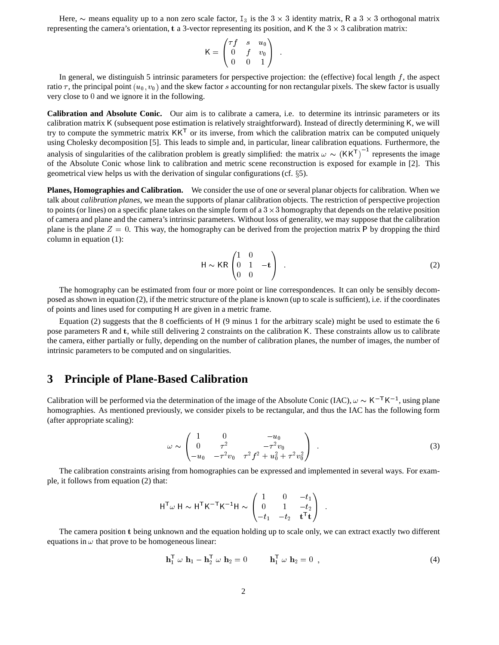Here,  $\sim$  means equality up to a non zero scale factor, I<sub>3</sub> is the 3  $\times$  3 identity matrix, R a 3  $\times$  3 orthogonal matrix representing the camera's orientation, t a 3-vector representing its position, and K the  $3 \times 3$  calibration matrix:

$$
\mathsf{K} = \begin{pmatrix} \tau f & s & u_0 \\ 0 & f & v_0 \\ 0 & 0 & 1 \end{pmatrix}
$$

In general, we distinguish 5 intrinsic parameters for perspective projection: the (effective) focal length  $f$ , the aspect ratio  $\tau$ , the principal point  $(u_0, v_0)$  and the skew factor s accounting for non rectangular pixels. The skew factor is usually very close to <sup>0</sup> and we ignore it in the following.

**Calibration and Absolute Conic.** Our aim is to calibrate a camera, i.e. to determine its intrinsic parameters or its calibration matrix <sup>K</sup> (subsequent pose estimation is relatively straightforward). Instead of directly determining <sup>K</sup>, we will try to compute the symmetric matrix  $KK<sup>T</sup>$  or its inverse, from which the calibration matrix can be computed uniquely using Cholesky decomposition [5]. This leads to simple and, in particular, linear calibration equations. Furthermore, the analysis of singularities of the calibration problem is greatly simplified: the matrix  $\omega \sim (KK^T)^{-1}$  represents the image of the Absolute Conic whose link to calibration and metric scene reconstruction is exposed for example in [2]. This geometrical view helps us with the derivation of singular configurations (cf.  $\S$ 5).

**Planes, Homographies and Calibration.** We consider the use of one or several planar objects for calibration. When we talk about *calibration planes*, we mean the supports of planar calibration objects. The restriction of perspective projection to points (or lines) on a specific plane takes on the simple form of a  $3 \times 3$  homography that depends on the relative position of camera and plane and the camera's intrinsic parameters. Without loss of generality, we may suppose that the calibration plane is the plane  $Z = 0$ . This way, the homography can be derived from the projection matrix P by dropping the third column in equation (1):

$$
H \sim KR \begin{pmatrix} 1 & 0 \\ 0 & 1 & -t \\ 0 & 0 & \end{pmatrix} . \tag{2}
$$

The homography can be estimated from four or more point or line correspondences. It can only be sensibly decomposed as shown in equation (2), if the metric structure of the plane is known (up to scale is sufficient), i.e. if the coordinates of points and lines used for computing <sup>H</sup> are given in a metric frame.

Equation (2) suggests that the 8 coefficients of <sup>H</sup> (9 minus 1 for the arbitrary scale) might be used to estimate the 6 pose parameters <sup>R</sup> and <sup>t</sup>, while still delivering 2 constraints on the calibration <sup>K</sup>. These constraints allow us to calibrate the camera, either partially or fully, depending on the number of calibration planes, the number of images, the number of intrinsic parameters to be computed and on singularities.

### **3 Principle of Plane-Based Calibration**

Calibration will be performed via the determination of the image of the Absolute Conic (IAC),  $\omega \sim K^{-1}K^{-1}$ , using plane homographies. As mentioned previously, we consider pixels to be rectangular, and thus the IAC has the following form (after appropriate scaling):

$$
\omega \sim \begin{pmatrix} 1 & 0 & -u_0 \\ 0 & \tau^2 & -\tau^2 v_0 \\ -u_0 & -\tau^2 v_0 & \tau^2 f^2 + u_0^2 + \tau^2 v_0^2 \end{pmatrix} . \tag{3}
$$

The calibration constraints arising from homographies can be expressed and implemented in several ways. For example, it follows from equation (2) that:

$$
\mathsf{H}^{\mathsf{T}}\omega \mathsf{H} \sim \mathsf{H}^{\mathsf{T}}\mathsf{K}^{-\mathsf{T}}\mathsf{K}^{-1}\mathsf{H} \sim \begin{pmatrix} 1 & 0 & -t_1 \\ 0 & 1 & -t_2 \\ -t_1 & -t_2 & \mathbf{t}^{\mathsf{T}}\mathbf{t} \end{pmatrix}
$$

The camera position <sup>t</sup> being unknown and the equation holding up to scale only, we can extract exactly two different equations in  $\omega$  that prove to be homogeneous linear:

$$
\mathbf{h}_1^{\mathsf{T}} \omega \mathbf{h}_1 - \mathbf{h}_2^{\mathsf{T}} \omega \mathbf{h}_2 = 0 \qquad \mathbf{h}_1^{\mathsf{T}} \omega \mathbf{h}_2 = 0 \tag{4}
$$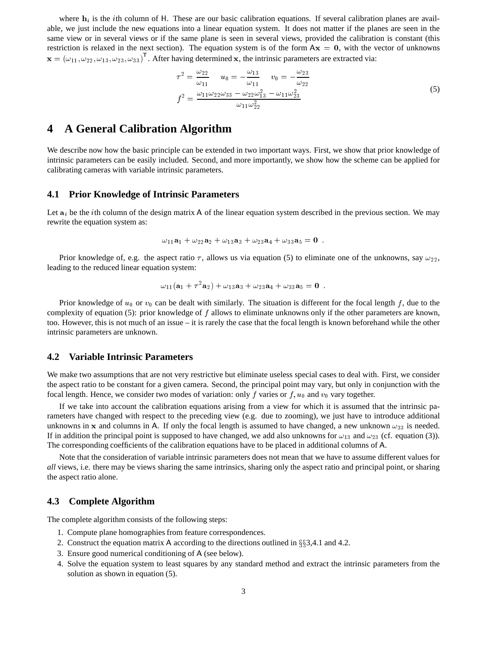where  $h_i$  is the *i*th column of H. These are our basic calibration equations. If several calibration planes are available, we just include the new equations into a linear equation system. It does not matter if the planes are seen in the same view or in several views or if the same plane is seen in several views, provided the calibration is constant (this restriction is relaxed in the next section). The equation system is of the form  $Ax = 0$ , with the vector of unknowns  $\mathbf{x} = (\omega_{11}, \omega_{22}, \omega_{13}, \omega_{23}, \omega_{33})^{\mathsf{T}}$ . After having determined x, the intrinsic parameters are extracted via:

$$
\tau^{2} = \frac{\omega_{22}}{\omega_{11}} \qquad u_{0} = -\frac{\omega_{13}}{\omega_{11}} \qquad v_{0} = -\frac{\omega_{23}}{\omega_{22}}
$$
\n
$$
f^{2} = \frac{\omega_{11}\omega_{22}\omega_{33} - \omega_{22}\omega_{13}^{2} - \omega_{11}\omega_{23}^{2}}{\omega_{11}\omega_{22}^{2}} \tag{5}
$$

## **4 A General Calibration Algorithm**

We describe now how the basic principle can be extended in two important ways. First, we show that prior knowledge of intrinsic parameters can be easily included. Second, and more importantly, we show how the scheme can be applied for calibrating cameras with variable intrinsic parameters.

#### **4.1 Prior Knowledge of Intrinsic Parameters**

Let  $a_i$  be the *i*th column of the design matrix A of the linear equation system described in the previous section. We may rewrite the equation system as:

$$
\omega_{11} \mathbf{a}_1 + \omega_{22} \mathbf{a}_2 + \omega_{13} \mathbf{a}_3 + \omega_{23} \mathbf{a}_4 + \omega_{33} \mathbf{a}_5 = \mathbf{0}.
$$

Prior knowledge of, e.g. the aspect ratio  $\tau$ , allows us via equation (5) to eliminate one of the unknowns, say  $\omega_{22}$ , leading to the reduced linear equation system:

$$
\omega_{11}(\mathbf{a}_1 + \tau^2 \mathbf{a}_2) + \omega_{13} \mathbf{a}_3 + \omega_{23} \mathbf{a}_4 + \omega_{33} \mathbf{a}_5 = \mathbf{0}.
$$

Prior knowledge of  $u_0$  or  $v_0$  can be dealt with similarly. The situation is different for the focal length f, due to the complexity of equation (5): prior knowledge of f allows to eliminate unknowns only if the other parameters are known, too. However, this is not much of an issue – it is rarely the case that the focal length is known beforehand while the other intrinsic parameters are unknown.

#### **4.2 Variable Intrinsic Parameters**

We make two assumptions that are not very restrictive but eliminate useless special cases to deal with. First, we consider the aspect ratio to be constant for a given camera. Second, the principal point may vary, but only in conjunction with the focal length. Hence, we consider two modes of variation: only f varies or  $f, u_0$  and  $v_0$  vary together.

If we take into account the calibration equations arising from a view for which it is assumed that the intrinsic parameters have changed with respect to the preceding view (e.g. due to zooming), we just have to introduce additional unknowns in x and columns in A. If only the focal length is assumed to have changed, a new unknown  $\omega_{33}$  is needed. If in addition the principal point is supposed to have changed, we add also unknowns for  $\omega_{13}$  and  $\omega_{23}$  (cf. equation (3)). The corresponding coefficients of the calibration equations have to be placed in additional columns of <sup>A</sup>.

Note that the consideration of variable intrinsic parameters does not mean that we have to assume different values for *all* views, i.e. there may be views sharing the same intrinsics, sharing only the aspect ratio and principal point, or sharing the aspect ratio alone.

#### **4.3 Complete Algorithm**

The complete algorithm consists of the following steps:

- 1. Compute plane homographies from feature correspondences.
- 2. Construct the equation matrix A according to the directions outlined in  $\S$ \$3,4.1 and 4.2.
- 3. Ensure good numerical conditioning of <sup>A</sup> (see below).
- 4. Solve the equation system to least squares by any standard method and extract the intrinsic parameters from the solution as shown in equation (5).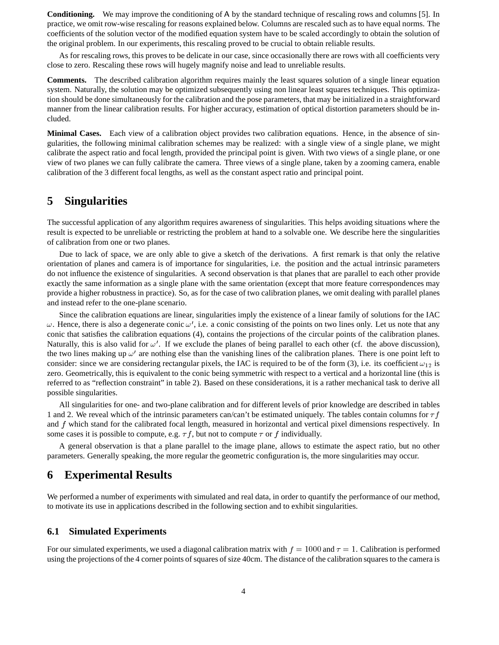**Conditioning.** We may improve the conditioning of <sup>A</sup> by the standard technique of rescaling rows and columns [5]. In practice, we omit row-wise rescaling for reasons explained below. Columns are rescaled such as to have equal norms. The coefficients of the solution vector of the modified equation system have to be scaled accordingly to obtain the solution of the original problem. In our experiments, this rescaling proved to be crucial to obtain reliable results.

As for rescaling rows, this proves to be delicate in our case, since occasionally there are rows with all coefficients very close to zero. Rescaling these rows will hugely magnify noise and lead to unreliable results.

**Comments.** The described calibration algorithm requires mainly the least squares solution of a single linear equation system. Naturally, the solution may be optimized subsequently using non linear least squares techniques. This optimization should be done simultaneously for the calibration and the pose parameters, that may be initialized in a straightforward manner from the linear calibration results. For higher accuracy, estimation of optical distortion parameters should be included.

**Minimal Cases.** Each view of a calibration object provides two calibration equations. Hence, in the absence of singularities, the following minimal calibration schemes may be realized: with a single view of a single plane, we might calibrate the aspect ratio and focal length, provided the principal point is given. With two views of a single plane, or one view of two planes we can fully calibrate the camera. Three views of a single plane, taken by a zooming camera, enable calibration of the 3 different focal lengths, as well as the constant aspect ratio and principal point.

## **5 Singularities**

The successful application of any algorithm requires awareness of singularities. This helps avoiding situations where the result is expected to be unreliable or restricting the problem at hand to a solvable one. We describe here the singularities of calibration from one or two planes.

Due to lack of space, we are only able to give a sketch of the derivations. A first remark is that only the relative orientation of planes and camera is of importance for singularities, i.e. the position and the actual intrinsic parameters do not influence the existence of singularities. A second observation is that planes that are parallel to each other provide exactly the same information as a single plane with the same orientation (except that more feature correspondences may provide a higher robustness in practice). So, as for the case of two calibration planes, we omit dealing with parallel planes and instead refer to the one-plane scenario.

Since the calibration equations are linear, singularities imply the existence of a linear family of solutions for the IAC  $\omega$ . Hence, there is also a degenerate conic  $\omega'$ , i.e. a conic consisting of the points on two lines only. Let us note that any conic that satisfies the calibration equations (4), contains the projections of the circular points of the calibration planes. Naturally, this is also valid for  $\omega'$ . If we exclude the planes of being parallel to each other (cf. the above discussion), the two lines making up  $\omega'$  are nothing else than the vanishing lines of the calibration planes. There is one point left to consider: since we are considering rectangular pixels, the IAC is required to be of the form (3), i.e. its coefficient  $\omega_{12}$  is zero. Geometrically, this is equivalent to the conic being symmetric with respect to a vertical and a horizontal line (this is referred to as "reflection constraint" in table 2). Based on these considerations, it is a rather mechanical task to derive all possible singularities.

All singularities for one- and two-plane calibration and for different levels of prior knowledge are described in tables 1 and 2. We reveal which of the intrinsic parameters can/can't be estimated uniquely. The tables contain columns for  $\tau f$ and f which stand for the calibrated focal length, measured in horizontal and vertical pixel dimensions respectively. In some cases it is possible to compute, e.g.  $\tau f$ , but not to compute  $\tau$  or f individually.

A general observation is that a plane parallel to the image plane, allows to estimate the aspect ratio, but no other parameters. Generally speaking, the more regular the geometric configuration is, the more singularities may occur.

## **6 Experimental Results**

We performed a number of experiments with simulated and real data, in order to quantify the performance of our method, to motivate its use in applications described in the following section and to exhibit singularities.

#### **6.1 Simulated Experiments**

For our simulated experiments, we used a diagonal calibration matrix with  $f = 1000$  and  $\tau = 1$ . Calibration is performed using the projections of the 4 corner points of squares of size 40cm. The distance of the calibration squares to the camera is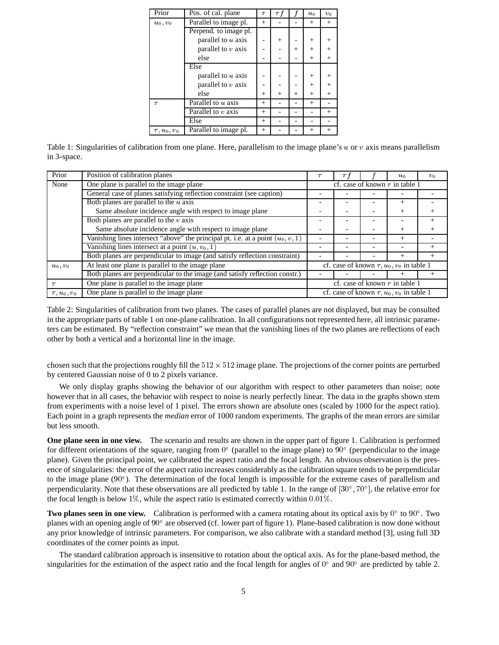| Prior                  | Pos. of cal. plane    | $\tau$ | $\tau t$ |        | $u_0$  | $v_0$  |
|------------------------|-----------------------|--------|----------|--------|--------|--------|
| $u_0, v_0$             | Parallel to image pl. |        |          |        | $^{+}$ | $^{+}$ |
|                        | Perpend. to image pl. |        |          |        |        |        |
|                        | parallel to $u$ axis  |        | $^{+}$   |        | $\pm$  | $^{+}$ |
|                        | parallel to $v$ axis  |        |          | $^{+}$ | $^{+}$ | $^{+}$ |
|                        | else                  |        |          |        | $^{+}$ | $^{+}$ |
|                        | Else                  |        |          |        |        |        |
|                        | parallel to $u$ axis  |        |          |        | $^+$   | $^{+}$ |
|                        | parallel to $v$ axis  |        |          |        | $^{+}$ | $^{+}$ |
|                        | else                  | $^+$   | $^{+}$   | $^{+}$ | $^{+}$ | $^{+}$ |
| $\tau$                 | Parallel to $u$ axis  | $^{+}$ |          |        | $^{+}$ |        |
|                        | Parallel to $v$ axis  | $^{+}$ |          |        |        | $^{+}$ |
|                        | Else                  | $^{+}$ |          |        |        |        |
| $\tau$ , $u_0$ , $v_0$ | Parallel to image pl. | $^{+}$ |          |        | $\pm$  | $^{+}$ |

Table 1: Singularities of calibration from one plane. Here, parallelism to the image plane's  $u$  or  $v$  axis means parallelism in 3-space.

| Prior                  | Position of calibration planes                                                    |                                                     | $\tau$ j |                                     | $u_0$  | $v_0$ |  |
|------------------------|-----------------------------------------------------------------------------------|-----------------------------------------------------|----------|-------------------------------------|--------|-------|--|
| None                   | One plane is parallel to the image plane                                          |                                                     |          | cf. case of known $\tau$ in table 1 |        |       |  |
|                        | General case of planes satisfying reflection constraint (see caption)             |                                                     |          |                                     |        |       |  |
|                        | Both planes are parallel to the $u$ axis                                          |                                                     |          |                                     | $^{+}$ |       |  |
|                        | Same absolute incidence angle with respect to image plane                         |                                                     |          |                                     | $^{+}$ |       |  |
|                        | Both planes are parallel to the $v$ axis                                          |                                                     |          |                                     |        |       |  |
|                        | Same absolute incidence angle with respect to image plane                         |                                                     |          |                                     | $^{+}$ |       |  |
|                        | Vanishing lines intersect "above" the principal pt. i.e. at a point $(u_0, v, 1)$ |                                                     |          |                                     | $^{+}$ |       |  |
|                        | Vanishing lines intersect at a point $(u, v_0, 1)$                                |                                                     |          |                                     |        |       |  |
|                        | Both planes are perpendicular to image (and satisfy reflection constraint)        |                                                     |          |                                     | $^{+}$ |       |  |
| $u_0, v_0$             | At least one plane is parallel to the image plane                                 | cf. case of known $\tau$ , $u_0$ , $v_0$ in table 1 |          |                                     |        |       |  |
|                        | Both planes are perpendicular to the image (and satisfy reflection constr.)       |                                                     |          |                                     |        |       |  |
|                        | One plane is parallel to the image plane                                          | cf. case of known $\tau$ in table 1                 |          |                                     |        |       |  |
| $\tau$ , $u_0$ , $v_0$ | One plane is parallel to the image plane                                          | cf. case of known $\tau$ , $u_0$ , $v_0$ in table 1 |          |                                     |        |       |  |

Table 2: Singularities of calibration from two planes. The cases of parallel planes are not displayed, but may be consulted in the appropriate parts of table 1 on one-plane calibration. In all configurations not represented here, all intrinsic parameters can be estimated. By "reflection constraint" we mean that the vanishing lines of the two planes are reflections of each other by both a vertical and a horizontal line in the image.

chosen such that the projections roughly fill the  $512 \times 512$  image plane. The projections of the corner points are perturbed by centered Gaussian noise of 0 to 2 pixels variance.

We only display graphs showing the behavior of our algorithm with respect to other parameters than noise; note however that in all cases, the behavior with respect to noise is nearly perfectly linear. The data in the graphs shown stem from experiments with a noise level of 1 pixel. The errors shown are absolute ones (scaled by 1000 for the aspect ratio). Each point in a graph represents the *median* error of 1000 random experiments. The graphs of the mean errors are similar but less smooth.

**One plane seen in one view.** The scenario and results are shown in the upper part of figure 1. Calibration is performed for different orientations of the square, ranging from  $0^{\circ}$  (parallel to the image plane) to  $90^{\circ}$  (perpendicular to the image plane). Given the principal point, we calibrated the aspect ratio and the focal length. An obvious observation is the presence of singularities: the error of the aspect ratio increases considerably as the calibration square tends to be perpendicular to the image plane  $(90^{\circ})$ . The determination of the focal length is impossible for the extreme cases of parallelism and perpendicularity. Note that these observations are all predicted by table 1. In the range of  $[30^\circ, 70^\circ]$ , the relative error for the focal length is below  $1\%$ , while the aspect ratio is estimated correctly within 0.01%.

**Two planes seen in one view.** Calibration is performed with a camera rotating about its optical axis by  $0^{\circ}$  to  $90^{\circ}$ . Two planes with an opening angle of 90° are observed (cf. lower part of figure 1). Plane-based calibration is now done without any prior knowledge of intrinsic parameters. For comparison, we also calibrate with a standard method [3], using full 3D coordinates of the corner points as input.

The standard calibration approach is insensitive to rotation about the optical axis. As for the plane-based method, the singularities for the estimation of the aspect ratio and the focal length for angles of  $0^{\circ}$  and  $90^{\circ}$  are predicted by table 2.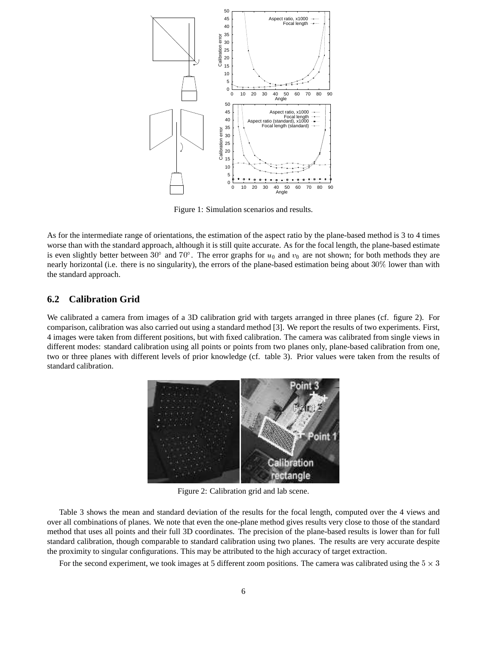

Figure 1: Simulation scenarios and results.

As for the intermediate range of orientations, the estimation of the aspect ratio by the plane-based method is 3 to 4 times worse than with the standard approach, although it is still quite accurate. As for the focal length, the plane-based estimate is even slightly better between 30 $^{\circ}$  and 70 $^{\circ}$ . The error graphs for  $u_0$  and  $v_0$  are not shown; for both methods they are nearly horizontal (i.e. there is no singularity), the errors of the plane-based estimation being about 30% lower than with the standard approach.

### **6.2 Calibration Grid**

We calibrated a camera from images of a 3D calibration grid with targets arranged in three planes (cf. figure 2). For comparison, calibration was also carried out using a standard method [3]. We report the results of two experiments. First, 4 images were taken from different positions, but with fixed calibration. The camera was calibrated from single views in different modes: standard calibration using all points or points from two planes only, plane-based calibration from one, two or three planes with different levels of prior knowledge (cf. table 3). Prior values were taken from the results of standard calibration.



Figure 2: Calibration grid and lab scene.

Table 3 shows the mean and standard deviation of the results for the focal length, computed over the 4 views and over all combinations of planes. We note that even the one-plane method gives results very close to those of the standard method that uses all points and their full 3D coordinates. The precision of the plane-based results is lower than for full standard calibration, though comparable to standard calibration using two planes. The results are very accurate despite the proximity to singular configurations. This may be attributed to the high accuracy of target extraction.

For the second experiment, we took images at 5 different zoom positions. The camera was calibrated using the  $5 \times 3$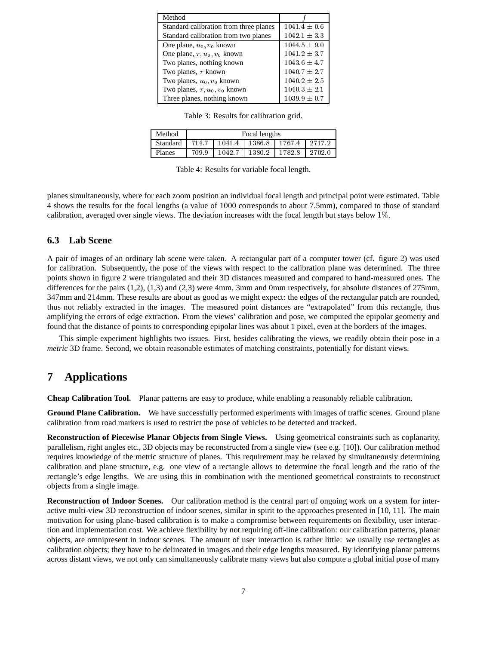| Method                                   |                  |
|------------------------------------------|------------------|
| Standard calibration from three planes   | $1041.4 \pm 0.6$ |
| Standard calibration from two planes     | $1042.1 \pm 3.3$ |
| One plane, $u_0, v_0$ known              | $1044.5 \pm 9.0$ |
| One plane, $\tau$ , $u_0$ , $v_0$ known  | $1041.2 \pm 3.7$ |
| Two planes, nothing known                | $1043.6 \pm 4.7$ |
| Two planes, $\tau$ known                 | $1040.7 \pm 2.7$ |
| Two planes, $u_0$ , $v_0$ known          | $1040.2 \pm 2.5$ |
| Two planes, $\tau$ , $u_0$ , $v_0$ known | $1040.3 \pm 2.1$ |
| Three planes, nothing known              | $1039.9 \pm 0.7$ |

Table 3: Results for calibration grid.

| Method   | Focal lengths |        |        |        |        |  |
|----------|---------------|--------|--------|--------|--------|--|
| Standard | 714.7         | 1041.4 | 1386.8 | 1767.4 | 2717.2 |  |
| Planes   | 709.9         | 1042.7 | 1380.2 | 1782.8 | 2702.0 |  |

Table 4: Results for variable focal length.

planes simultaneously, where for each zoom position an individual focal length and principal point were estimated. Table 4 shows the results for the focal lengths (a value of 1000 corresponds to about 7.5mm), compared to those of standard calibration, averaged over single views. The deviation increases with the focal length but stays below 1%.

#### **6.3 Lab Scene**

A pair of images of an ordinary lab scene were taken. A rectangular part of a computer tower (cf. figure 2) was used for calibration. Subsequently, the pose of the views with respect to the calibration plane was determined. The three points shown in figure 2 were triangulated and their 3D distances measured and compared to hand-measured ones. The differences for the pairs (1,2), (1,3) and (2,3) were 4mm, 3mm and 0mm respectively, for absolute distances of 275mm, 347mm and 214mm. These results are about as good as we might expect: the edges of the rectangular patch are rounded, thus not reliably extracted in the images. The measured point distances are "extrapolated" from this rectangle, thus amplifying the errors of edge extraction. From the views' calibration and pose, we computed the epipolar geometry and found that the distance of points to corresponding epipolar lines was about 1 pixel, even at the borders of the images.

This simple experiment highlights two issues. First, besides calibrating the views, we readily obtain their pose in a *metric* 3D frame. Second, we obtain reasonable estimates of matching constraints, potentially for distant views.

## **7 Applications**

**Cheap Calibration Tool.** Planar patterns are easy to produce, while enabling a reasonably reliable calibration.

**Ground Plane Calibration.** We have successfully performed experiments with images of traffic scenes. Ground plane calibration from road markers is used to restrict the pose of vehicles to be detected and tracked.

**Reconstruction of Piecewise Planar Objects from Single Views.** Using geometrical constraints such as coplanarity, parallelism, right angles etc., 3D objects may be reconstructed from a single view (see e.g. [10]). Our calibration method requires knowledge of the metric structure of planes. This requirement may be relaxed by simultaneously determining calibration and plane structure, e.g. one view of a rectangle allows to determine the focal length and the ratio of the rectangle's edge lengths. We are using this in combination with the mentioned geometrical constraints to reconstruct objects from a single image.

**Reconstruction of Indoor Scenes.** Our calibration method is the central part of ongoing work on a system for interactive multi-view 3D reconstruction of indoor scenes, similar in spirit to the approaches presented in [10, 11]. The main motivation for using plane-based calibration is to make a compromise between requirements on flexibility, user interaction and implementation cost. We achieve flexibility by not requiring off-line calibration: our calibration patterns, planar objects, are omnipresent in indoor scenes. The amount of user interaction is rather little: we usually use rectangles as calibration objects; they have to be delineated in images and their edge lengths measured. By identifying planar patterns across distant views, we not only can simultaneously calibrate many views but also compute a global initial pose of many